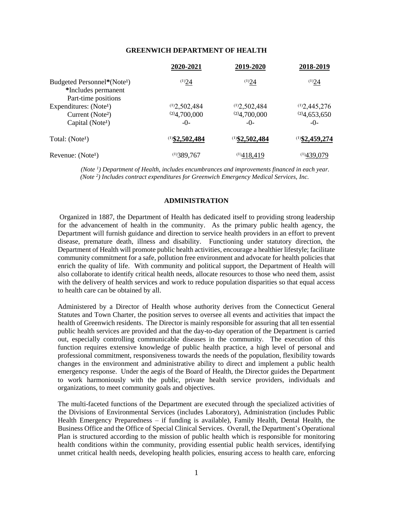#### **GREENWICH DEPARTMENT OF HEALTH**

|                                                                                                    | 2020-2021                               | 2019-2020                               | 2018-2019                               |
|----------------------------------------------------------------------------------------------------|-----------------------------------------|-----------------------------------------|-----------------------------------------|
| Budgeted Personnel*(Note <sup>1</sup> )<br>*Includes permanent<br>Part-time positions              | (1)24                                   | (1)24                                   | (1)24                                   |
| Expenditures: (Note <sup>1</sup> )<br>Current (Note <sup>2</sup> )<br>Capital (Note <sup>1</sup> ) | (1)2,502,484<br>(2)4,700,000<br>$-()$ - | (1)2,502,484<br>(2)4,700,000<br>$-()$ - | (1)2,445,276<br>(2)4,653,650<br>$-()$ - |
| Total: (Note <sup>1</sup> )                                                                        | $(1)$ \$2,502,484                       | $(1)$ \$2,502,484                       | $(1)$ \$2,459,274                       |
| Revenue: (Note <sup>1</sup> )                                                                      | (1)389,767                              | (1)418,419                              | (1)439,079                              |

*(Note <sup>1</sup> ) Department of Health, includes encumbrances and improvements financed in each year. (Note <sup>2</sup> ) Includes contract expenditures for Greenwich Emergency Medical Services, Inc.*

# **ADMINISTRATION**

Organized in 1887, the Department of Health has dedicated itself to providing strong leadership for the advancement of health in the community. As the primary public health agency, the Department will furnish guidance and direction to service health providers in an effort to prevent disease, premature death, illness and disability. Functioning under statutory direction, the Department of Health will promote public health activities, encourage a healthier lifestyle; facilitate community commitment for a safe, pollution free environment and advocate for health policies that enrich the quality of life. With community and political support, the Department of Health will also collaborate to identify critical health needs, allocate resources to those who need them, assist with the delivery of health services and work to reduce population disparities so that equal access to health care can be obtained by all.

Administered by a Director of Health whose authority derives from the Connecticut General Statutes and Town Charter, the position serves to oversee all events and activities that impact the health of Greenwich residents. The Director is mainly responsible for assuring that all ten essential public health services are provided and that the day-to-day operation of the Department is carried out, especially controlling communicable diseases in the community. The execution of this function requires extensive knowledge of public health practice, a high level of personal and professional commitment, responsiveness towards the needs of the population, flexibility towards changes in the environment and administrative ability to direct and implement a public health emergency response. Under the aegis of the Board of Health, the Director guides the Department to work harmoniously with the public, private health service providers, individuals and organizations, to meet community goals and objectives.

The multi-faceted functions of the Department are executed through the specialized activities of the Divisions of Environmental Services (includes Laboratory), Administration (includes Public Health Emergency Preparedness – if funding is available), Family Health, Dental Health, the Business Office and the Office of Special Clinical Services. Overall, the Department's Operational Plan is structured according to the mission of public health which is responsible for monitoring health conditions within the community, providing essential public health services, identifying unmet critical health needs, developing health policies, ensuring access to health care, enforcing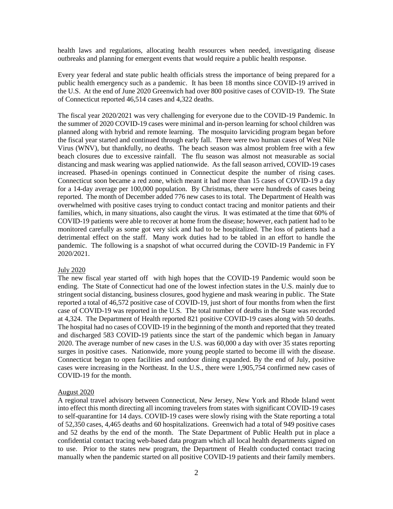health laws and regulations, allocating health resources when needed, investigating disease outbreaks and planning for emergent events that would require a public health response.

Every year federal and state public health officials stress the importance of being prepared for a public health emergency such as a pandemic. It has been 18 months since COVID-19 arrived in the U.S. At the end of June 2020 Greenwich had over 800 positive cases of COVID-19. The State of Connecticut reported 46,514 cases and 4,322 deaths.

The fiscal year 2020/2021 was very challenging for everyone due to the COVID-19 Pandemic. In the summer of 2020 COVID-19 cases were minimal and in-person learning for school children was planned along with hybrid and remote learning. The mosquito larviciding program began before the fiscal year started and continued through early fall. There were two human cases of West Nile Virus (WNV), but thankfully, no deaths. The beach season was almost problem free with a few beach closures due to excessive rainfall. The flu season was almost not measurable as social distancing and mask wearing was applied nationwide. As the fall season arrived, COVID-19 cases increased. Phased-in openings continued in Connecticut despite the number of rising cases. Connecticut soon became a red zone, which meant it had more than 15 cases of COVID-19 a day for a 14-day average per 100,000 population. By Christmas, there were hundreds of cases being reported. The month of December added 776 new cases to its total. The Department of Health was overwhelmed with positive cases trying to conduct contact tracing and monitor patients and their families, which, in many situations, also caught the virus. It was estimated at the time that 60% of COVID-19 patients were able to recover at home from the disease; however, each patient had to be monitored carefully as some got very sick and had to be hospitalized. The loss of patients had a detrimental effect on the staff. Many work duties had to be tabled in an effort to handle the pandemic. The following is a snapshot of what occurred during the COVID-19 Pandemic in FY 2020/2021.

### July 2020

The new fiscal year started off with high hopes that the COVID-19 Pandemic would soon be ending. The State of Connecticut had one of the lowest infection states in the U.S. mainly due to stringent social distancing, business closures, good hygiene and mask wearing in public. The State reported a total of 46,572 positive case of COVID-19, just short of four months from when the first case of COVID-19 was reported in the U.S. The total number of deaths in the State was recorded at 4,324. The Department of Health reported 821 positive COVID-19 cases along with 50 deaths. The hospital had no cases of COVID-19 in the beginning of the month and reported that they treated and discharged 583 COVID-19 patients since the start of the pandemic which began in January 2020. The average number of new cases in the U.S. was 60,000 a day with over 35 states reporting surges in positive cases. Nationwide, more young people started to become ill with the disease. Connecticut began to open facilities and outdoor dining expanded. By the end of July, positive cases were increasing in the Northeast. In the U.S., there were 1,905,754 confirmed new cases of COVID-19 for the month.

### August 2020

A regional travel advisory between Connecticut, New Jersey, New York and Rhode Island went into effect this month directing all incoming travelers from states with significant COVID-19 cases to self-quarantine for 14 days. COVID-19 cases were slowly rising with the State reporting a total of 52,350 cases, 4,465 deaths and 60 hospitalizations. Greenwich had a total of 949 positive cases and 52 deaths by the end of the month. The State Department of Public Health put in place a confidential contact tracing web-based data program which all local health departments signed on to use. Prior to the states new program, the Department of Health conducted contact tracing manually when the pandemic started on all positive COVID-19 patients and their family members.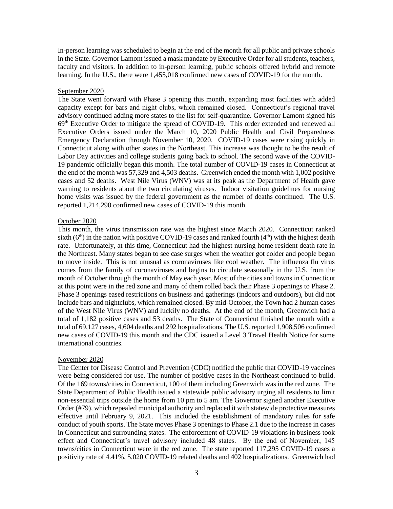In-person learning was scheduled to begin at the end of the month for all public and private schools in the State. Governor Lamont issued a mask mandate by Executive Order for all students, teachers, faculty and visitors. In addition to in-person learning, public schools offered hybrid and remote learning. In the U.S., there were 1,455,018 confirmed new cases of COVID-19 for the month.

### September 2020

The State went forward with Phase 3 opening this month, expanding most facilities with added capacity except for bars and night clubs, which remained closed. Connecticut's regional travel advisory continued adding more states to the list for self-quarantine. Governor Lamont signed his 69th Executive Order to mitigate the spread of COVID-19. This order extended and renewed all Executive Orders issued under the March 10, 2020 Public Health and Civil Preparedness Emergency Declaration through November 10, 2020. COVID-19 cases were rising quickly in Connecticut along with other states in the Northeast. This increase was thought to be the result of Labor Day activities and college students going back to school. The second wave of the COVID-19 pandemic officially began this month. The total number of COVID-19 cases in Connecticut at the end of the month was 57,329 and 4,503 deaths. Greenwich ended the month with 1,002 positive cases and 52 deaths. West Nile Virus (WNV) was at its peak as the Department of Health gave warning to residents about the two circulating viruses. Indoor visitation guidelines for nursing home visits was issued by the federal government as the number of deaths continued. The U.S. reported 1,214,290 confirmed new cases of COVID-19 this month.

### October 2020

This month, the virus transmission rate was the highest since March 2020. Connecticut ranked sixth  $(6<sup>th</sup>)$  in the nation with positive COVID-19 cases and ranked fourth  $(4<sup>th</sup>)$  with the highest death rate. Unfortunately, at this time, Connecticut had the highest nursing home resident death rate in the Northeast. Many states began to see case surges when the weather got colder and people began to move inside. This is not unusual as coronaviruses like cool weather. The influenza flu virus comes from the family of coronaviruses and begins to circulate seasonally in the U.S. from the month of October through the month of May each year. Most of the cities and towns in Connecticut at this point were in the red zone and many of them rolled back their Phase 3 openings to Phase 2. Phase 3 openings eased restrictions on business and gatherings (indoors and outdoors), but did not include bars and nightclubs, which remained closed. By mid-October, the Town had 2 human cases of the West Nile Virus (WNV) and luckily no deaths. At the end of the month, Greenwich had a total of 1,182 positive cases and 53 deaths. The State of Connecticut finished the month with a total of 69,127 cases, 4,604 deaths and 292 hospitalizations. The U.S. reported 1,908,506 confirmed new cases of COVID-19 this month and the CDC issued a Level 3 Travel Health Notice for some international countries.

#### November 2020

The Center for Disease Control and Prevention (CDC) notified the public that COVID-19 vaccines were being considered for use. The number of positive cases in the Northeast continued to build. Of the 169 towns/cities in Connecticut, 100 of them including Greenwich was in the red zone. The State Department of Public Health issued a statewide public advisory urging all residents to limit non-essential trips outside the home from 10 pm to 5 am. The Governor signed another Executive Order (#79), which repealed municipal authority and replaced it with statewide protective measures effective until February 9, 2021. This included the establishment of mandatory rules for safe conduct of youth sports. The State moves Phase 3 openings to Phase 2.1 due to the increase in cases in Connecticut and surrounding states. The enforcement of COVID-19 violations in business took effect and Connecticut's travel advisory included 48 states. By the end of November, 145 towns/cities in Connecticut were in the red zone. The state reported 117,295 COVID-19 cases a positivity rate of 4.41%, 5,020 COVID-19 related deaths and 402 hospitalizations. Greenwich had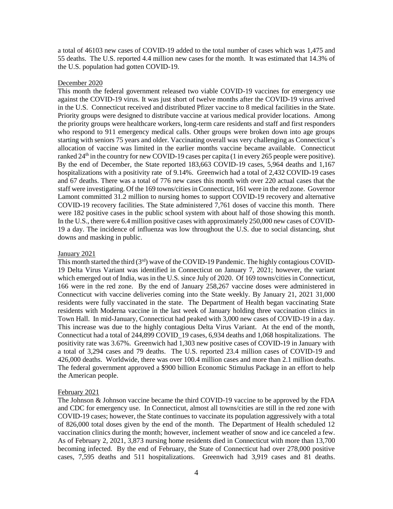a total of 46103 new cases of COVID-19 added to the total number of cases which was 1,475 and 55 deaths. The U.S. reported 4.4 million new cases for the month. It was estimated that 14.3% of the U.S. population had gotten COVID-19.

#### December 2020

This month the federal government released two viable COVID-19 vaccines for emergency use against the COVID-19 virus. It was just short of twelve months after the COVID-19 virus arrived in the U.S. Connecticut received and distributed Pfizer vaccine to 8 medical facilities in the State. Priority groups were designed to distribute vaccine at various medical provider locations. Among the priority groups were healthcare workers, long-term care residents and staff and first responders who respond to 911 emergency medical calls. Other groups were broken down into age groups starting with seniors 75 years and older. Vaccinating overall was very challenging as Connecticut's allocation of vaccine was limited in the earlier months vaccine became available. Connecticut ranked  $24<sup>th</sup>$  in the country for new COVID-19 cases per capita (1 in every 265 people were positive). By the end of December, the State reported 183,663 COVID-19 cases, 5,964 deaths and 1,167 hospitalizations with a positivity rate of 9.14%. Greenwich had a total of 2,432 COVID-19 cases and 67 deaths. There was a total of 776 new cases this month with over 220 actual cases that the staff were investigating. Of the 169 towns/cities in Connecticut, 161 were in the red zone. Governor Lamont committed 31.2 million to nursing homes to support COVID-19 recovery and alternative COVID-19 recovery facilities. The State administered 7,761 doses of vaccine this month. There were 182 positive cases in the public school system with about half of those showing this month. In the U.S., there were 6.4 million positive cases with approximately 250,000 new cases of COVID-19 a day. The incidence of influenza was low throughout the U.S. due to social distancing, shut downs and masking in public.

### January 2021

This month started the third  $(3<sup>rd</sup>)$  wave of the COVID-19 Pandemic. The highly contagious COVID-19 Delta Virus Variant was identified in Connecticut on January 7, 2021; however, the variant which emerged out of India, was in the U.S. since July of 2020. Of 169 towns/cities in Connecticut, 166 were in the red zone. By the end of January 258,267 vaccine doses were administered in Connecticut with vaccine deliveries coming into the State weekly. By January 21, 2021 31,000 residents were fully vaccinated in the state. The Department of Health began vaccinating State residents with Moderna vaccine in the last week of January holding three vaccination clinics in Town Hall. In mid-January, Connecticut had peaked with 3,000 new cases of COVID-19 in a day. This increase was due to the highly contagious Delta Virus Variant. At the end of the month, Connecticut had a total of 244,899 COVID\_19 cases, 6,934 deaths and 1,068 hospitalizations. The positivity rate was 3.67%. Greenwich had 1,303 new positive cases of COVID-19 in January with a total of 3,294 cases and 79 deaths. The U.S. reported 23.4 million cases of COVID-19 and 426,000 deaths. Worldwide, there was over 100.4 million cases and more than 2.1 million deaths. The federal government approved a \$900 billion Economic Stimulus Package in an effort to help the American people.

#### February 2021

The Johnson & Johnson vaccine became the third COVID-19 vaccine to be approved by the FDA and CDC for emergency use. In Connecticut, almost all towns/cities are still in the red zone with COVID-19 cases; however, the State continues to vaccinate its population aggressively with a total of 826,000 total doses given by the end of the month. The Department of Health scheduled 12 vaccination clinics during the month; however, inclement weather of snow and ice canceled a few. As of February 2, 2021, 3,873 nursing home residents died in Connecticut with more than 13,700 becoming infected. By the end of February, the State of Connecticut had over 278,000 positive cases, 7,595 deaths and 511 hospitalizations. Greenwich had 3,919 cases and 81 deaths.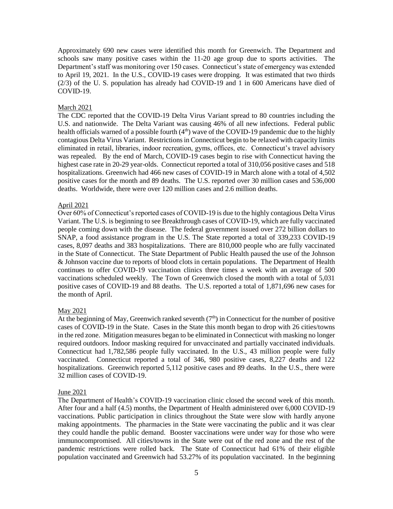Approximately 690 new cases were identified this month for Greenwich. The Department and schools saw many positive cases within the 11-20 age group due to sports activities. The Department's staff was monitoring over 150 cases. Connecticut's state of emergency was extended to April 19, 2021. In the U.S., COVID-19 cases were dropping. It was estimated that two thirds (2/3) of the U. S. population has already had COVID-19 and 1 in 600 Americans have died of COVID-19.

### March 2021

The CDC reported that the COVID-19 Delta Virus Variant spread to 80 countries including the U.S. and nationwide. The Delta Variant was causing 46% of all new infections. Federal public health officials warned of a possible fourth  $(4<sup>th</sup>)$  wave of the COVID-19 pandemic due to the highly contagious Delta Virus Variant. Restrictions in Connecticut begin to be relaxed with capacity limits eliminated in retail, libraries, indoor recreation, gyms, offices, etc. Connecticut's travel advisory was repealed. By the end of March, COVID-19 cases begin to rise with Connecticut having the highest case rate in 20-29 year-olds. Connecticut reported a total of 310,056 positive cases and 518 hospitalizations. Greenwich had 466 new cases of COVID-19 in March alone with a total of 4,502 positive cases for the month and 89 deaths. The U.S. reported over 30 million cases and 536,000 deaths. Worldwide, there were over 120 million cases and 2.6 million deaths.

#### April 2021

Over 60% of Connecticut's reported cases of COVID-19 is due to the highly contagious Delta Virus Variant. The U.S. is beginning to see Breakthrough cases of COVID-19, which are fully vaccinated people coming down with the disease. The federal government issued over 272 billion dollars to SNAP, a food assistance program in the U.S. The State reported a total of 339,233 COVID-19 cases, 8,097 deaths and 383 hospitalizations. There are 810,000 people who are fully vaccinated in the State of Connecticut. The State Department of Public Health paused the use of the Johnson & Johnson vaccine due to reports of blood clots in certain populations. The Department of Health continues to offer COVID-19 vaccination clinics three times a week with an average of 500 vaccinations scheduled weekly. The Town of Greenwich closed the month with a total of 5,031 positive cases of COVID-19 and 88 deaths. The U.S. reported a total of 1,871,696 new cases for the month of April.

### May 2021

At the beginning of May, Greenwich ranked seventh  $(7<sup>th</sup>)$  in Connecticut for the number of positive cases of COVID-19 in the State. Cases in the State this month began to drop with 26 cities/towns in the red zone. Mitigation measures began to be eliminated in Connecticut with masking no longer required outdoors. Indoor masking required for unvaccinated and partially vaccinated individuals. Connecticut had 1,782,586 people fully vaccinated. In the U.S., 43 million people were fully vaccinated. Connecticut reported a total of 346, 980 positive cases, 8,227 deaths and 122 hospitalizations. Greenwich reported 5,112 positive cases and 89 deaths. In the U.S., there were 32 million cases of COVID-19.

#### June 2021

The Department of Health's COVID-19 vaccination clinic closed the second week of this month. After four and a half (4.5) months, the Department of Health administered over 6,000 COVID-19 vaccinations. Public participation in clinics throughout the State were slow with hardly anyone making appointments. The pharmacies in the State were vaccinating the public and it was clear they could handle the public demand. Booster vaccinations were under way for those who were immunocompromised. All cities/towns in the State were out of the red zone and the rest of the pandemic restrictions were rolled back. The State of Connecticut had 61% of their eligible population vaccinated and Greenwich had 53.27% of its population vaccinated. In the beginning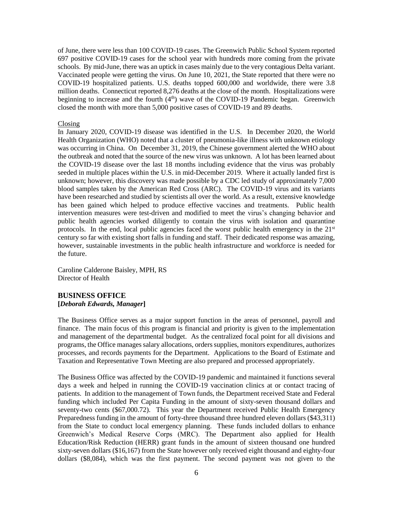of June, there were less than 100 COVID-19 cases. The Greenwich Public School System reported 697 positive COVID-19 cases for the school year with hundreds more coming from the private schools. By mid-June, there was an uptick in cases mainly due to the very contagious Delta variant. Vaccinated people were getting the virus. On June 10, 2021, the State reported that there were no COVID-19 hospitalized patients. U.S. deaths topped 600,000 and worldwide, there were 3.8 million deaths. Connecticut reported 8,276 deaths at the close of the month. Hospitalizations were beginning to increase and the fourth  $(4<sup>th</sup>)$  wave of the COVID-19 Pandemic began. Greenwich closed the month with more than 5,000 positive cases of COVID-19 and 89 deaths.

#### Closing

In January 2020, COVID-19 disease was identified in the U.S. In December 2020, the World Health Organization (WHO) noted that a cluster of pneumonia-like illness with unknown etiology was occurring in China. On December 31, 2019, the Chinese government alerted the WHO about the outbreak and noted that the source of the new virus was unknown. A lot has been learned about the COVID-19 disease over the last 18 months including evidence that the virus was probably seeded in multiple places within the U.S. in mid-December 2019. Where it actually landed first is unknown; however, this discovery was made possible by a CDC led study of approximately 7,000 blood samples taken by the American Red Cross (ARC). The COVID-19 virus and its variants have been researched and studied by scientists all over the world. As a result, extensive knowledge has been gained which helped to produce effective vaccines and treatments. Public health intervention measures were test-driven and modified to meet the virus's changing behavior and public health agencies worked diligently to contain the virus with isolation and quarantine protocols. In the end, local public agencies faced the worst public health emergency in the  $21<sup>st</sup>$ century so far with existing short falls in funding and staff. Their dedicated response was amazing, however, sustainable investments in the public health infrastructure and workforce is needed for the future.

Caroline Calderone Baisley, MPH, RS Director of Health

# **BUSINESS OFFICE [***Deborah Edwards, Manager***]**

The Business Office serves as a major support function in the areas of personnel, payroll and finance. The main focus of this program is financial and priority is given to the implementation and management of the departmental budget. As the centralized focal point for all divisions and programs, the Office manages salary allocations, orders supplies, monitors expenditures, authorizes processes, and records payments for the Department. Applications to the Board of Estimate and Taxation and Representative Town Meeting are also prepared and processed appropriately.

The Business Office was affected by the COVID-19 pandemic and maintained it functions several days a week and helped in running the COVID-19 vaccination clinics at or contact tracing of patients. In addition to the management of Town funds, the Department received State and Federal funding which included Per Capita Funding in the amount of sixty-seven thousand dollars and seventy-two cents (\$67,000.72). This year the Department received Public Health Emergency Preparedness funding in the amount of forty-three thousand three hundred eleven dollars (\$43,311) from the State to conduct local emergency planning. These funds included dollars to enhance Greenwich's Medical Reserve Corps (MRC). The Department also applied for Health Education/Risk Reduction (HERR) grant funds in the amount of sixteen thousand one hundred sixty-seven dollars (\$16,167) from the State however only received eight thousand and eighty-four dollars (\$8,084), which was the first payment. The second payment was not given to the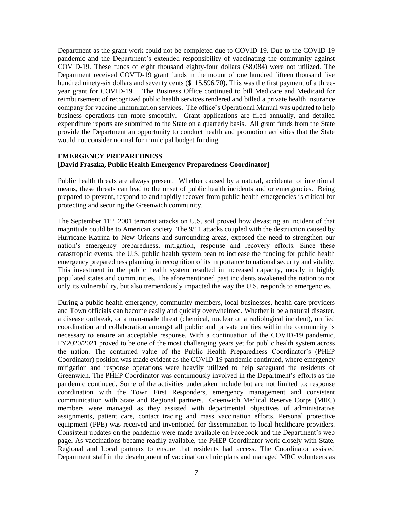Department as the grant work could not be completed due to COVID-19. Due to the COVID-19 pandemic and the Department's extended responsibility of vaccinating the community against COVID-19. These funds of eight thousand eighty-four dollars (\$8,084) were not utilized. The Department received COVID-19 grant funds in the mount of one hundred fifteen thousand five hundred ninety-six dollars and seventy cents (\$115,596.70). This was the first payment of a threeyear grant for COVID-19. The Business Office continued to bill Medicare and Medicaid for reimbursement of recognized public health services rendered and billed a private health insurance company for vaccine immunization services. The office's Operational Manual was updated to help business operations run more smoothly. Grant applications are filed annually, and detailed expenditure reports are submitted to the State on a quarterly basis. All grant funds from the State provide the Department an opportunity to conduct health and promotion activities that the State would not consider normal for municipal budget funding.

# **EMERGENCY PREPAREDNESS [David Fraszka, Public Health Emergency Preparedness Coordinator]**

Public health threats are always present. Whether caused by a natural, accidental or intentional means, these threats can lead to the onset of public health incidents and or emergencies. Being prepared to prevent, respond to and rapidly recover from public health emergencies is critical for protecting and securing the Greenwich community.

The September  $11<sup>th</sup>$ , 2001 terrorist attacks on U.S. soil proved how devasting an incident of that magnitude could be to American society. The 9/11 attacks coupled with the destruction caused by Hurricane Katrina to New Orleans and surrounding areas, exposed the need to strengthen our nation's emergency preparedness, mitigation, response and recovery efforts. Since these catastrophic events, the U.S. public health system bean to increase the funding for public health emergency preparedness planning in recognition of its importance to national security and vitality. This investment in the public health system resulted in increased capacity, mostly in highly populated states and communities. The aforementioned past incidents awakened the nation to not only its vulnerability, but also tremendously impacted the way the U.S. responds to emergencies.

During a public health emergency, community members, local businesses, health care providers and Town officials can become easily and quickly overwhelmed. Whether it be a natural disaster, a disease outbreak, or a man-made threat (chemical, nuclear or a radiological incident), unified coordination and collaboration amongst all public and private entities within the community is necessary to ensure an acceptable response. With a continuation of the COVID-19 pandemic, FY2020/2021 proved to be one of the most challenging years yet for public health system across the nation. The continued value of the Public Health Preparedness Coordinator's (PHEP Coordinator) position was made evident as the COVID-19 pandemic continued, where emergency mitigation and response operations were heavily utilized to help safeguard the residents of Greenwich. The PHEP Coordinator was continuously involved in the Department's efforts as the pandemic continued. Some of the activities undertaken include but are not limited to: response coordination with the Town First Responders, emergency management and consistent communication with State and Regional partners. Greenwich Medical Reserve Corps (MRC) members were managed as they assisted with departmental objectives of administrative assignments, patient care, contact tracing and mass vaccination efforts. Personal protective equipment (PPE) was received and inventoried for dissemination to local healthcare providers. Consistent updates on the pandemic were made available on Facebook and the Department's web page. As vaccinations became readily available, the PHEP Coordinator work closely with State, Regional and Local partners to ensure that residents had access. The Coordinator assisted Department staff in the development of vaccination clinic plans and managed MRC volunteers as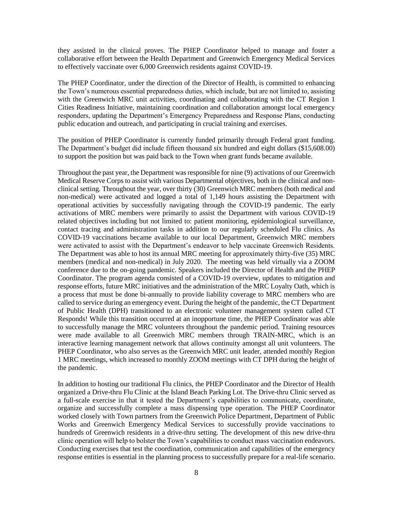they assisted in the clinical proves. The PHEP Coordinator helped to manage and foster a collaborative effort between the Health Department and Greenwich Emergency Medical Services to effectively vaccinate over 6,000 Greenwich residents against COVID-19.

The PHEP Coordinator, under the direction of the Director of Health, is committed to enhancing the Town's numerous essential preparedness duties, which include, but are not limited to, assisting with the Greenwich MRC unit activities, coordinating and collaborating with the CT Region 1 Cities Readiness Initiative, maintaining coordination and collaboration amongst local emergency responders, updating the Department's Emergency Preparedness and Response Plans, conducting public education and outreach, and participating in crucial training and exercises.

The position of PHEP Coordinator is currently funded primarily through Federal grant funding. The Department's budget did include fifteen thousand six hundred and eight dollars (\$15,608.00) to support the position but was paid back to the Town when grant funds became available.

Throughout the past year, the Department was responsible for nine (9) activations of our Greenwich Medical Reserve Corps to assist with various Departmental objectives, both in the clinical and nonclinical setting. Throughout the year, over thirty (30) Greenwich MRC members (both medical and non-medical) were activated and logged a total of 1,149 hours assisting the Department with operational activities by successfully navigating through the COVID-19 pandemic. The early activations of MRC members were primarily to assist the Department with various COVID-19 related objectives including but not limited to: patient monitoring, epidemiological surveillance, contact tracing and administration tasks in addition to our regularly scheduled Flu clinics. As COVID-19 vaccinations became available to our local Department, Greenwich MRC members were activated to assist with the Department's endeavor to help vaccinate Greenwich Residents. The Department was able to host its annual MRC meeting for approximately thirty-five (35) MRC members (medical and non-medical) in July 2020. The meeting was held virtually via a ZOOM conference due to the on-going pandemic. Speakers included the Director of Health and the PHEP Coordinator. The program agenda consisted of a COVID-19 overview, updates to mitigation and response efforts, future MRC initiatives and the administration of the MRC Loyalty Oath, which is a process that must be done bi-annually to provide liability coverage to MRC members who are called to service during an emergency event. During the height of the pandemic, the CT Department of Public Health (DPH) transitioned to an electronic volunteer management system called CT Responds! While this transition occurred at an inopportune time, the PHEP Coordinator was able to successfully manage the MRC volunteers throughout the pandemic period. Training resources were made available to all Greenwich MRC members through TRAIN-MRC, which is an interactive learning management network that allows continuity amongst all unit volunteers. The PHEP Coordinator, who also serves as the Greenwich MRC unit leader, attended monthly Region 1 MRC meetings, which increased to monthly ZOOM meetings with CT DPH during the height of the pandemic.

In addition to hosting our traditional Flu clinics, the PHEP Coordinator and the Director of Health organized a Drive-thru Flu Clinic at the Island Beach Parking Lot. The Drive-thru Clinic served as a full-scale exercise in that it tested the Department's capabilities to communicate, coordinate, organize and successfully complete a mass dispensing type operation. The PHEP Coordinator worked closely with Town partners from the Greenwich Police Department, Department of Public Works and Greenwich Emergency Medical Services to successfully provide vaccinations to hundreds of Greenwich residents in a drive-thru setting. The development of this new drive-thru clinic operation will help to bolster the Town's capabilities to conduct mass vaccination endeavors. Conducting exercises that test the coordination, communication and capabilities of the emergency response entities is essential in the planning process to successfully prepare for a real-life scenario.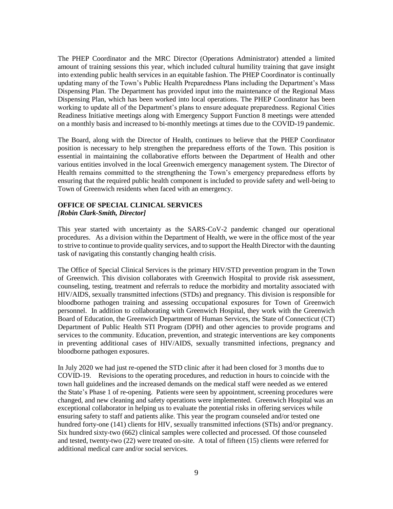The PHEP Coordinator and the MRC Director (Operations Administrator) attended a limited amount of training sessions this year, which included cultural humility training that gave insight into extending public health services in an equitable fashion. The PHEP Coordinator is continually updating many of the Town's Public Health Preparedness Plans including the Department's Mass Dispensing Plan. The Department has provided input into the maintenance of the Regional Mass Dispensing Plan, which has been worked into local operations. The PHEP Coordinator has been working to update all of the Department's plans to ensure adequate preparedness. Regional Cities Readiness Initiative meetings along with Emergency Support Function 8 meetings were attended on a monthly basis and increased to bi-monthly meetings at times due to the COVID-19 pandemic.

The Board, along with the Director of Health, continues to believe that the PHEP Coordinator position is necessary to help strengthen the preparedness efforts of the Town. This position is essential in maintaining the collaborative efforts between the Department of Health and other various entities involved in the local Greenwich emergency management system. The Director of Health remains committed to the strengthening the Town's emergency preparedness efforts by ensuring that the required public health component is included to provide safety and well-being to Town of Greenwich residents when faced with an emergency.

# **OFFICE OF SPECIAL CLINICAL SERVICES** *[Robin Clark-Smith, Director]*

This year started with uncertainty as the SARS-CoV-2 pandemic changed our operational procedures. As a division within the Department of Health, we were in the office most of the year to strive to continue to provide quality services, and to support the Health Director with the daunting task of navigating this constantly changing health crisis.

The Office of Special Clinical Services is the primary HIV/STD prevention program in the Town of Greenwich. This division collaborates with Greenwich Hospital to provide risk assessment, counseling, testing, treatment and referrals to reduce the morbidity and mortality associated with HIV/AIDS, sexually transmitted infections (STDs) and pregnancy. This division is responsible for bloodborne pathogen training and assessing occupational exposures for Town of Greenwich personnel. In addition to collaborating with Greenwich Hospital, they work with the Greenwich Board of Education, the Greenwich Department of Human Services, the State of Connecticut (CT) Department of Public Health STI Program (DPH) and other agencies to provide programs and services to the community. Education, prevention, and strategic interventions are key components in preventing additional cases of HIV/AIDS, sexually transmitted infections, pregnancy and bloodborne pathogen exposures.

In July 2020 we had just re-opened the STD clinic after it had been closed for 3 months due to COVID-19. Revisions to the operating procedures, and reduction in hours to coincide with the town hall guidelines and the increased demands on the medical staff were needed as we entered the State's Phase 1 of re-opening. Patients were seen by appointment, screening procedures were changed, and new cleaning and safety operations were implemented. Greenwich Hospital was an exceptional collaborator in helping us to evaluate the potential risks in offering services while ensuring safety to staff and patients alike. This year the program counseled and/or tested one hundred forty-one (141) clients for HIV, sexually transmitted infections (STIs) and/or pregnancy. Six hundred sixty-two (662) clinical samples were collected and processed. Of those counseled and tested, twenty-two (22) were treated on-site. A total of fifteen (15) clients were referred for additional medical care and/or social services.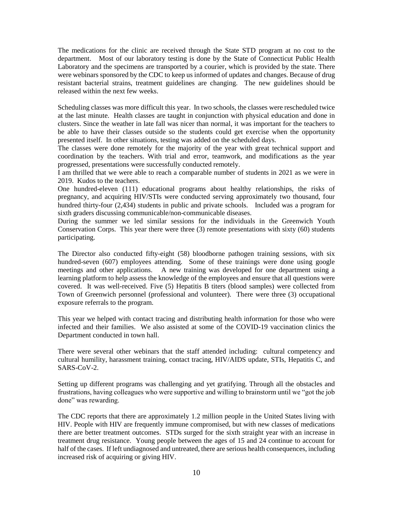The medications for the clinic are received through the State STD program at no cost to the department. Most of our laboratory testing is done by the State of Connecticut Public Health Laboratory and the specimens are transported by a courier, which is provided by the state. There were webinars sponsored by the CDC to keep us informed of updates and changes. Because of drug resistant bacterial strains, treatment guidelines are changing. The new guidelines should be released within the next few weeks.

Scheduling classes was more difficult this year. In two schools, the classes were rescheduled twice at the last minute. Health classes are taught in conjunction with physical education and done in clusters. Since the weather in late fall was nicer than normal, it was important for the teachers to be able to have their classes outside so the students could get exercise when the opportunity presented itself. In other situations, testing was added on the scheduled days.

The classes were done remotely for the majority of the year with great technical support and coordination by the teachers. With trial and error, teamwork, and modifications as the year progressed, presentations were successfully conducted remotely.

I am thrilled that we were able to reach a comparable number of students in 2021 as we were in 2019. Kudos to the teachers.

One hundred-eleven (111) educational programs about healthy relationships, the risks of pregnancy, and acquiring HIV/STIs were conducted serving approximately two thousand, four hundred thirty-four (2,434) students in public and private schools. Included was a program for sixth graders discussing communicable/non-communicable diseases.

During the summer we led similar sessions for the individuals in the Greenwich Youth Conservation Corps. This year there were three (3) remote presentations with sixty (60) students participating.

The Director also conducted fifty-eight (58) bloodborne pathogen training sessions, with six hundred-seven (607) employees attending. Some of these trainings were done using google meetings and other applications. A new training was developed for one department using a learning platform to help assess the knowledge of the employees and ensure that all questions were covered. It was well-received. Five (5) Hepatitis B titers (blood samples) were collected from Town of Greenwich personnel (professional and volunteer). There were three (3) occupational exposure referrals to the program.

This year we helped with contact tracing and distributing health information for those who were infected and their families. We also assisted at some of the COVID-19 vaccination clinics the Department conducted in town hall.

There were several other webinars that the staff attended including: cultural competency and cultural humility, harassment training, contact tracing, HIV/AIDS update, STIs, Hepatitis C, and SARS-CoV-2.

Setting up different programs was challenging and yet gratifying. Through all the obstacles and frustrations, having colleagues who were supportive and willing to brainstorm until we "got the job done" was rewarding.

The CDC reports that there are approximately 1.2 million people in the United States living with HIV. People with HIV are frequently immune compromised, but with new classes of medications there are better treatment outcomes. STDs surged for the sixth straight year with an increase in treatment drug resistance. Young people between the ages of 15 and 24 continue to account for half of the cases. If left undiagnosed and untreated, there are serious health consequences, including increased risk of acquiring or giving HIV.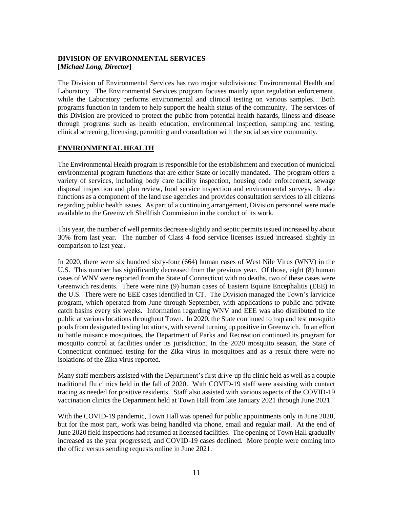# **DIVISION OF ENVIRONMENTAL SERVICES [***Michael Long, Director***]**

The Division of Environmental Services has two major subdivisions: Environmental Health and Laboratory. The Environmental Services program focuses mainly upon regulation enforcement, while the Laboratory performs environmental and clinical testing on various samples. Both programs function in tandem to help support the health status of the community. The services of this Division are provided to protect the public from potential health hazards, illness and disease through programs such as health education, environmental inspection, sampling and testing, clinical screening, licensing, permitting and consultation with the social service community.

# **ENVIRONMENTAL HEALTH**

The Environmental Health program is responsible for the establishment and execution of municipal environmental program functions that are either State or locally mandated. The program offers a variety of services, including body care facility inspection, housing code enforcement, sewage disposal inspection and plan review, food service inspection and environmental surveys. It also functions as a component of the land use agencies and provides consultation services to all citizens regarding public health issues. As part of a continuing arrangement, Division personnel were made available to the Greenwich Shellfish Commission in the conduct of its work.

This year, the number of well permits decrease slightly and septic permits issued increased by about 30% from last year. The number of Class 4 food service licenses issued increased slightly in comparison to last year.

In 2020, there were six hundred sixty-four (664) human cases of West Nile Virus (WNV) in the U.S. This number has significantly decreased from the previous year. Of those, eight (8) human cases of WNV were reported from the State of Connecticut with no deaths, two of these cases were Greenwich residents. There were nine (9) human cases of Eastern Equine Encephalitis (EEE) in the U.S. There were no EEE cases identified in CT. The Division managed the Town's larvicide program, which operated from June through September, with applications to public and private catch basins every six weeks. Information regarding WNV and EEE was also distributed to the public at various locations throughout Town. In 2020, the State continued to trap and test mosquito pools from designated testing locations, with several turning up positive in Greenwich. In an effort to battle nuisance mosquitoes, the Department of Parks and Recreation continued its program for mosquito control at facilities under its jurisdiction. In the 2020 mosquito season, the State of Connecticut continued testing for the Zika virus in mosquitoes and as a result there were no isolations of the Zika virus reported.

Many staff members assisted with the Department's first drive-up flu clinic held as well as a couple traditional flu clinics held in the fall of 2020. With COVID-19 staff were assisting with contact tracing as needed for positive residents. Staff also assisted with various aspects of the COVID-19 vaccination clinics the Department held at Town Hall from late January 2021 through June 2021.

With the COVID-19 pandemic, Town Hall was opened for public appointments only in June 2020, but for the most part, work was being handled via phone, email and regular mail. At the end of June 2020 field inspections had resumed at licensed facilities. The opening of Town Hall gradually increased as the year progressed, and COVID-19 cases declined. More people were coming into the office versus sending requests online in June 2021.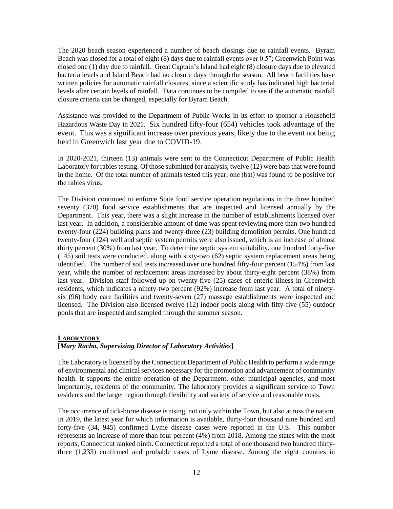The 2020 beach season experienced a number of beach closings due to rainfall events. Byram Beach was closed for a total of eight (8) days due to rainfall events over 0.5"; Greenwich Point was closed one (1) day due to rainfall. Great Captain's Island had eight (8) closure days due to elevated bacteria levels and Island Beach had no closure days through the season. All beach facilities have written policies for automatic rainfall closures, since a scientific study has indicated high bacterial levels after certain levels of rainfall. Data continues to be compiled to see if the automatic rainfall closure criteria can be changed, especially for Byram Beach.

Assistance was provided to the Department of Public Works in its effort to sponsor a Household Hazardous Waste Day in 2021. Six hundred fifty-four (654) vehicles took advantage of the event. This was a significant increase over previous years, likely due to the event not being held in Greenwich last year due to COVID-19.

In 2020-2021, thirteen (13) animals were sent to the Connecticut Department of Public Health Laboratory for rabies testing. Of those submitted for analysis, twelve (12) were bats that were found in the home. Of the total number of animals tested this year, one (bat) was found to be positive for the rabies virus.

The Division continued to enforce State food service operation regulations in the three hundred seventy (370) food service establishments that are inspected and licensed annually by the Department. This year, there was a slight increase in the number of establishments licensed over last year. In addition, a considerable amount of time was spent reviewing more than two hundred twenty-four (224) building plans and twenty-three (23) building demolition permits. One hundred twenty-four (124) well and septic system permits were also issued, which is an increase of almost thirty percent (30%) from last year. To determine septic system suitability, one hundred forty-five (145) soil tests were conducted, along with sixty-two (62) septic system replacement areas being identified. The number of soil tests increased over one hundred fifty-four percent (154%) from last year, while the number of replacement areas increased by about thirty-eight percent (38%) from last year. Division staff followed up on twenty-five (25) cases of enteric illness in Greenwich residents, which indicates a ninety-two percent (92%) increase from last year. A total of ninetysix (96) body care facilities and twenty-seven (27) massage establishments were inspected and licensed. The Division also licensed twelve (12) indoor pools along with fifty-five (55) outdoor pools that are inspected and sampled through the summer season.

### **LABORATORY**

# **[***Mary Racho, Supervising Director of Laboratory Activities***]**

The Laboratory is licensed by the Connecticut Department of Public Health to perform a wide range of environmental and clinical services necessary for the promotion and advancement of community health. It supports the entire operation of the Department, other municipal agencies, and most importantly, residents of the community. The laboratory provides a significant service to Town residents and the larger region through flexibility and variety of service and reasonable costs.

The occurrence of tick-borne disease is rising, not only within the Town, but also across the nation. In 2019, the latest year for which information is available, thirty-four thousand nine hundred and forty-five (34, 945) confirmed Lyme disease cases were reported in the U.S. This number represents an increase of more than four percent (4%) from 2018. Among the states with the most reports, Connecticut ranked ninth. Connecticut reported a total of one thousand two hundred thirtythree (1,233) confirmed and probable cases of Lyme disease. Among the eight counties in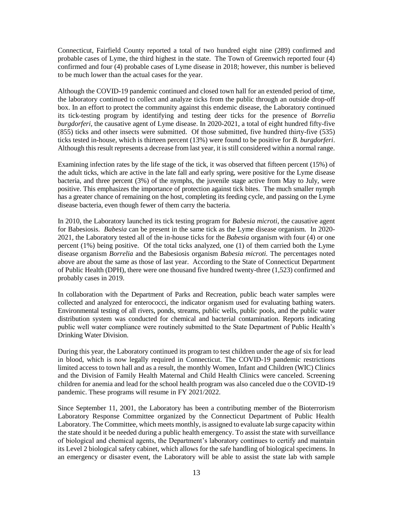Connecticut, Fairfield County reported a total of two hundred eight nine (289) confirmed and probable cases of Lyme, the third highest in the state. The Town of Greenwich reported four (4) confirmed and four (4) probable cases of Lyme disease in 2018; however, this number is believed to be much lower than the actual cases for the year.

Although the COVID-19 pandemic continued and closed town hall for an extended period of time, the laboratory continued to collect and analyze ticks from the public through an outside drop-off box. In an effort to protect the community against this endemic disease, the Laboratory continued its tick-testing program by identifying and testing deer ticks for the presence of *Borrelia burgdorferi,* the causative agent of Lyme disease. In 2020-2021, a total of eight hundred fifty-five (855) ticks and other insects were submitted. Of those submitted, five hundred thirty-five (535) ticks tested in-house, which is thirteen percent (13%) were found to be positive for *B. burgdorferi*. Although this result represents a decrease from last year, it is still considered within a normal range.

Examining infection rates by the life stage of the tick, it was observed that fifteen percent (15%) of the adult ticks, which are active in the late fall and early spring, were positive for the Lyme disease bacteria, and three percent (3%) of the nymphs, the juvenile stage active from May to July, were positive. This emphasizes the importance of protection against tick bites. The much smaller nymph has a greater chance of remaining on the host, completing its feeding cycle, and passing on the Lyme disease bacteria, even though fewer of them carry the bacteria.

In 2010, the Laboratory launched its tick testing program for *Babesia microti*, the causative agent for Babesiosis. *Babesia* can be present in the same tick as the Lyme disease organism. In 2020- 2021, the Laboratory tested all of the in-house ticks for the *Babesia* organism with four (4) or one percent (1%) being positive. Of the total ticks analyzed, one (1) of them carried both the Lyme disease organism *Borrelia* and the Babesiosis organism *Babesia microti.* The percentages noted above are about the same as those of last year. According to the State of Connecticut Department of Public Health (DPH), there were one thousand five hundred twenty-three (1,523) confirmed and probably cases in 2019.

In collaboration with the Department of Parks and Recreation, public beach water samples were collected and analyzed for enterococci, the indicator organism used for evaluating bathing waters. Environmental testing of all rivers, ponds, streams, public wells, public pools, and the public water distribution system was conducted for chemical and bacterial contamination. Reports indicating public well water compliance were routinely submitted to the State Department of Public Health's Drinking Water Division.

During this year, the Laboratory continued its program to test children under the age of six for lead in blood, which is now legally required in Connecticut. The COVID-19 pandemic restrictions limited access to town hall and as a result, the monthly Women, Infant and Children (WIC) Clinics and the Division of Family Health Maternal and Child Health Clinics were canceled. Screening children for anemia and lead for the school health program was also canceled due o the COVID-19 pandemic. These programs will resume in FY 2021/2022.

Since September 11, 2001, the Laboratory has been a contributing member of the Bioterrorism Laboratory Response Committee organized by the Connecticut Department of Public Health Laboratory. The Committee, which meets monthly, is assigned to evaluate lab surge capacity within the state should it be needed during a public health emergency. To assist the state with surveillance of biological and chemical agents, the Department's laboratory continues to certify and maintain its Level 2 biological safety cabinet, which allows for the safe handling of biological specimens. In an emergency or disaster event, the Laboratory will be able to assist the state lab with sample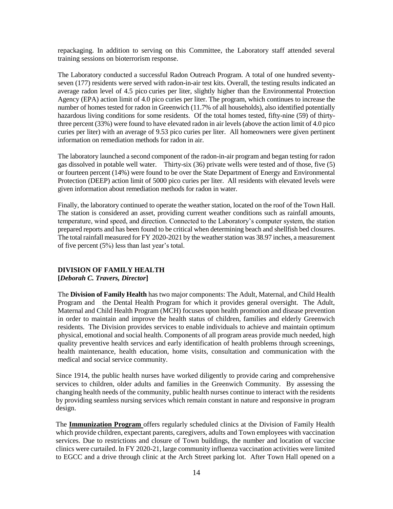repackaging. In addition to serving on this Committee, the Laboratory staff attended several training sessions on bioterrorism response.

The Laboratory conducted a successful Radon Outreach Program. A total of one hundred seventyseven (177) residents were served with radon-in-air test kits. Overall, the testing results indicated an average radon level of 4.5 pico curies per liter, slightly higher than the Environmental Protection Agency (EPA) action limit of 4.0 pico curies per liter. The program, which continues to increase the number of homes tested for radon in Greenwich (11.7% of all households), also identified potentially hazardous living conditions for some residents. Of the total homes tested, fifty-nine (59) of thirtythree percent (33%) were found to have elevated radon in air levels (above the action limit of 4.0 pico curies per liter) with an average of 9.53 pico curies per liter. All homeowners were given pertinent information on remediation methods for radon in air.

The laboratory launched a second component of the radon-in-air program and began testing for radon gas dissolved in potable well water. Thirty-six (36) private wells were tested and of those, five (5) or fourteen percent (14%) were found to be over the State Department of Energy and Environmental Protection (DEEP) action limit of 5000 pico curies per liter. All residents with elevated levels were given information about remediation methods for radon in water.

Finally, the laboratory continued to operate the weather station, located on the roof of the Town Hall. The station is considered an asset, providing current weather conditions such as rainfall amounts, temperature, wind speed, and direction. Connected to the Laboratory's computer system, the station prepared reports and has been found to be critical when determining beach and shellfish bed closures. The total rainfall measured for FY 2020-2021 by the weather station was 38.97 inches, a measurement of five percent (5%) less than last year's total.

### **DIVISION OF FAMILY HEALTH**

### **[***Deborah C. Travers, Director***]**

The **Division of Family Health** has two major components: The Adult, Maternal, and Child Health Program and the Dental Health Program for which it provides general oversight. The Adult, Maternal and Child Health Program (MCH) focuses upon health promotion and disease prevention in order to maintain and improve the health status of children, families and elderly Greenwich residents. The Division provides services to enable individuals to achieve and maintain optimum physical, emotional and social health. Components of all program areas provide much needed, high quality preventive health services and early identification of health problems through screenings, health maintenance, health education, home visits, consultation and communication with the medical and social service community.

Since 1914, the public health nurses have worked diligently to provide caring and comprehensive services to children, older adults and families in the Greenwich Community. By assessing the changing health needs of the community, public health nurses continue to interact with the residents by providing seamless nursing services which remain constant in nature and responsive in program design.

The **Immunization Program** offers regularly scheduled clinics at the Division of Family Health which provide children, expectant parents, caregivers, adults and Town employees with vaccination services. Due to restrictions and closure of Town buildings, the number and location of vaccine clinics were curtailed. In FY 2020-21, large community influenza vaccination activities were limited to EGCC and a drive through clinic at the Arch Street parking lot. After Town Hall opened on a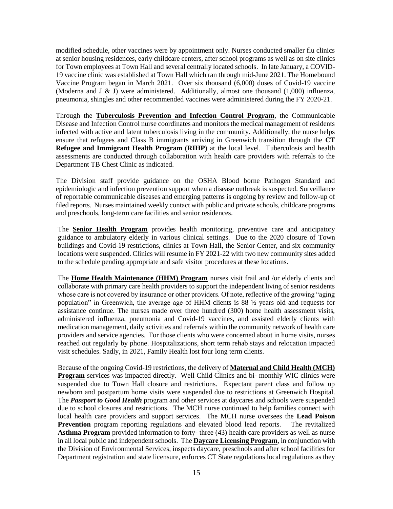modified schedule, other vaccines were by appointment only. Nurses conducted smaller flu clinics at senior housing residences, early childcare centers, after school programs as well as on site clinics for Town employees at Town Hall and several centrally located schools. In late January, a COVID-19 vaccine clinic was established at Town Hall which ran through mid-June 2021. The Homebound Vaccine Program began in March 2021. Over six thousand (6,000) doses of Covid-19 vaccine (Moderna and J & J) were administered. Additionally, almost one thousand (1,000) influenza, pneumonia, shingles and other recommended vaccines were administered during the FY 2020-21.

Through the **Tuberculosis Prevention and Infection Control Program**, the Communicable Disease and Infection Control nurse coordinates and monitors the medical management of residents infected with active and latent tuberculosis living in the community. Additionally, the nurse helps ensure that refugees and Class B immigrants arriving in Greenwich transition through the **CT Refugee and Immigrant Health Program (RIHP)** at the local level. Tuberculosis and health assessments are conducted through collaboration with health care providers with referrals to the Department TB Chest Clinic as indicated.

The Division staff provide guidance on the OSHA Blood borne Pathogen Standard and epidemiologic and infection prevention support when a disease outbreak is suspected. Surveillance of reportable communicable diseases and emerging patterns is ongoing by review and follow-up of filed reports. Nurses maintained weekly contact with public and private schools, childcare programs and preschools, long-term care facilities and senior residences.

The **Senior Health Program** provides health monitoring, preventive care and anticipatory guidance to ambulatory elderly in various clinical settings. Due to the 2020 closure of Town buildings and Covid-19 restrictions, clinics at Town Hall, the Senior Center, and six community locations were suspended. Clinics will resume in FY 2021-22 with two new community sites added to the schedule pending appropriate and safe visitor procedures at these locations.

The **Home Health Maintenance (HHM) Program** nurses visit frail and /or elderly clients and collaborate with primary care health providers to support the independent living of senior residents whose care is not covered by insurance or other providers. Of note, reflective of the growing "aging population" in Greenwich, the average age of HHM clients is 88 ½ years old and requests for assistance continue. The nurses made over three hundred (300) home health assessment visits, administered influenza, pneumonia and Covid-19 vaccines, and assisted elderly clients with medication management, daily activities and referrals within the community network of health care providers and service agencies. For those clients who were concerned about in home visits, nurses reached out regularly by phone. Hospitalizations, short term rehab stays and relocation impacted visit schedules. Sadly, in 2021, Family Health lost four long term clients.

Because of the ongoing Covid-19 restrictions, the delivery of **Maternal and Child Health (MCH) Program** services was impacted directly. Well Child Clinics and bi- monthly WIC clinics were suspended due to Town Hall closure and restrictions. Expectant parent class and follow up newborn and postpartum home visits were suspended due to restrictions at Greenwich Hospital. The *Passport to Good Health* program and other services at daycares and schools were suspended due to school closures and restrictions. The MCH nurse continued to help families connect with local health care providers and support services. The MCH nurse oversees the **Lead Poison Prevention** program reporting regulations and elevated blood lead reports. The revitalized **Asthma Program** provided information to forty- three (43) health care providers as well as nurse in all local public and independent schools. The **Daycare Licensing Program**, in conjunction with the Division of Environmental Services, inspects daycare, preschools and after school facilities for Department registration and state licensure, enforces CT State regulations local regulations as they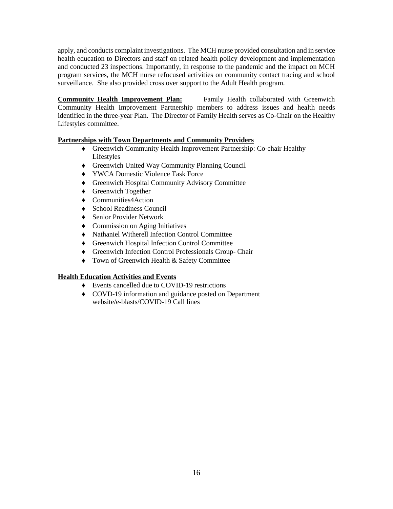apply, and conducts complaint investigations. The MCH nurse provided consultation and in service health education to Directors and staff on related health policy development and implementation and conducted 23 inspections. Importantly, in response to the pandemic and the impact on MCH program services, the MCH nurse refocused activities on community contact tracing and school surveillance. She also provided cross over support to the Adult Health program.

**Community Health Improvement Plan:** Family Health collaborated with Greenwich Community Health Improvement Partnership members to address issues and health needs identified in the three-year Plan. The Director of Family Health serves as Co-Chair on the Healthy Lifestyles committee.

# **Partnerships with Town Departments and Community Providers**

- Greenwich Community Health Improvement Partnership: Co-chair Healthy Lifestyles
- Greenwich United Way Community Planning Council
- ◆ YWCA Domestic Violence Task Force
- Greenwich Hospital Community Advisory Committee
- ◆ Greenwich Together
- ◆ Communities4Action
- ◆ School Readiness Council
- ◆ Senior Provider Network
- Commission on Aging Initiatives
- Nathaniel Witherell Infection Control Committee
- Greenwich Hospital Infection Control Committee
- Greenwich Infection Control Professionals Group- Chair
- $\bullet$  Town of Greenwich Health & Safety Committee

# **Health Education Activities and Events**

- Events cancelled due to COVID-19 restrictions
- COVD-19 information and guidance posted on Department website/e-blasts/COVID-19 Call lines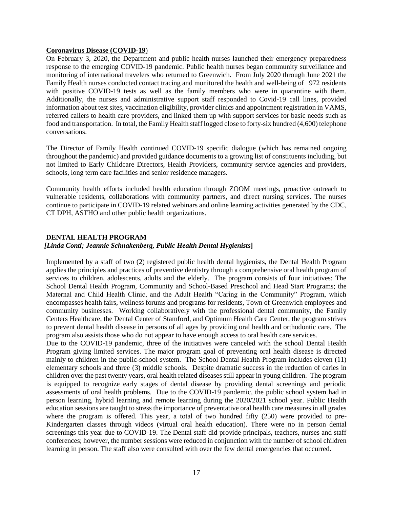### **Coronavirus Disease (COVID-19**)

On February 3, 2020, the Department and public health nurses launched their emergency preparedness response to the emerging COVID-19 pandemic. Public health nurses began community surveillance and monitoring of international travelers who returned to Greenwich. From July 2020 through June 2021 the Family Health nurses conducted contact tracing and monitored the health and well-being of 972 residents with positive COVID-19 tests as well as the family members who were in quarantine with them. Additionally, the nurses and administrative support staff responded to Covid-19 call lines, provided information about test sites, vaccination eligibility, provider clinics and appointment registration in VAMS, referred callers to health care providers, and linked them up with support services for basic needs such as food and transportation. In total, the Family Health staff logged close to forty-six hundred (4,600) telephone conversations.

The Director of Family Health continued COVID-19 specific dialogue (which has remained ongoing throughout the pandemic) and provided guidance documents to a growing list of constituents including, but not limited to Early Childcare Directors, Health Providers, community service agencies and providers, schools, long term care facilities and senior residence managers.

Community health efforts included health education through ZOOM meetings, proactive outreach to vulnerable residents, collaborations with community partners, and direct nursing services. The nurses continue to participate in COVID-19 related webinars and online learning activities generated by the CDC, CT DPH, ASTHO and other public health organizations.

### **DENTAL HEALTH PROGRAM**

## *[Linda Conti; Jeannie Schnakenberg, Public Health Dental Hygienists***]**

Implemented by a staff of two (2) registered public health dental hygienists, the Dental Health Program applies the principles and practices of preventive dentistry through a comprehensive oral health program of services to children, adolescents, adults and the elderly. The program consists of four initiatives: The School Dental Health Program, Community and School-Based Preschool and Head Start Programs; the Maternal and Child Health Clinic, and the Adult Health "Caring in the Community" Program, which encompasses health fairs, wellness forums and programs for residents, Town of Greenwich employees and community businesses. Working collaboratively with the professional dental community, the Family Centers Healthcare, the Dental Center of Stamford, and Optimum Health Care Center, the program strives to prevent dental health disease in persons of all ages by providing oral health and orthodontic care. The program also assists those who do not appear to have enough access to oral health care services.

Due to the COVID-19 pandemic, three of the initiatives were canceled with the school Dental Health Program giving limited services. The major program goal of preventing oral health disease is directed mainly to children in the public-school system. The School Dental Health Program includes eleven (11) elementary schools and three (3) middle schools. Despite dramatic success in the reduction of caries in children over the past twenty years, oral health related diseases still appear in young children. The program is equipped to recognize early stages of dental disease by providing dental screenings and periodic assessments of oral health problems. Due to the COVID-19 pandemic, the public school system had in person learning, hybrid learning and remote learning during the 2020/2021 school year. Public Health education sessions are taught to stress the importance of preventative oral health care measures in all grades where the program is offered. This year, a total of two hundred fifty (250) were provided to pre-Kindergarten classes through videos (virtual oral health education). There were no in person dental screenings this year due to COVID-19. The Dental staff did provide principals, teachers, nurses and staff conferences; however, the number sessions were reduced in conjunction with the number of school children learning in person. The staff also were consulted with over the few dental emergencies that occurred.